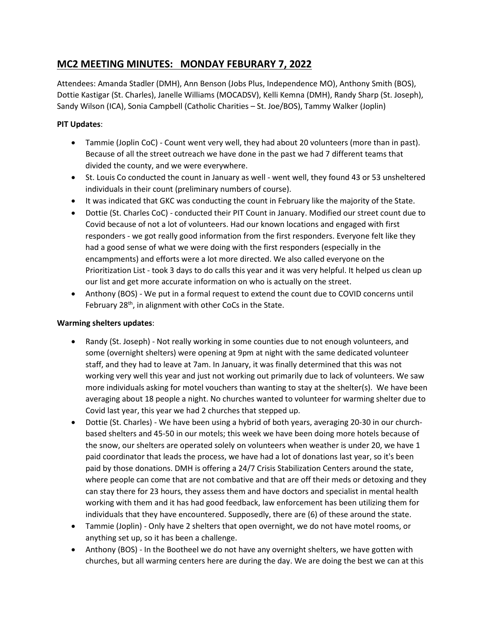## **MC2 MEETING MINUTES: MONDAY FEBURARY 7, 2022**

Attendees: Amanda Stadler (DMH), Ann Benson (Jobs Plus, Independence MO), Anthony Smith (BOS), Dottie Kastigar (St. Charles), Janelle Williams (MOCADSV), Kelli Kemna (DMH), Randy Sharp (St. Joseph), Sandy Wilson (ICA), Sonia Campbell (Catholic Charities – St. Joe/BOS), Tammy Walker (Joplin)

## **PIT Updates**:

- Tammie (Joplin CoC) Count went very well, they had about 20 volunteers (more than in past). Because of all the street outreach we have done in the past we had 7 different teams that divided the county, and we were everywhere.
- St. Louis Co conducted the count in January as well went well, they found 43 or 53 unsheltered individuals in their count (preliminary numbers of course).
- It was indicated that GKC was conducting the count in February like the majority of the State.
- Dottie (St. Charles CoC) conducted their PIT Count in January. Modified our street count due to Covid because of not a lot of volunteers. Had our known locations and engaged with first responders - we got really good information from the first responders. Everyone felt like they had a good sense of what we were doing with the first responders (especially in the encampments) and efforts were a lot more directed. We also called everyone on the Prioritization List - took 3 days to do calls this year and it was very helpful. It helped us clean up our list and get more accurate information on who is actually on the street.
- Anthony (BOS) We put in a formal request to extend the count due to COVID concerns until February 28<sup>th</sup>, in alignment with other CoCs in the State.

## **Warming shelters updates**:

- Randy (St. Joseph) Not really working in some counties due to not enough volunteers, and some (overnight shelters) were opening at 9pm at night with the same dedicated volunteer staff, and they had to leave at 7am. In January, it was finally determined that this was not working very well this year and just not working out primarily due to lack of volunteers. We saw more individuals asking for motel vouchers than wanting to stay at the shelter(s). We have been averaging about 18 people a night. No churches wanted to volunteer for warming shelter due to Covid last year, this year we had 2 churches that stepped up.
- Dottie (St. Charles) We have been using a hybrid of both years, averaging 20-30 in our churchbased shelters and 45-50 in our motels; this week we have been doing more hotels because of the snow, our shelters are operated solely on volunteers when weather is under 20, we have 1 paid coordinator that leads the process, we have had a lot of donations last year, so it's been paid by those donations. DMH is offering a 24/7 Crisis Stabilization Centers around the state, where people can come that are not combative and that are off their meds or detoxing and they can stay there for 23 hours, they assess them and have doctors and specialist in mental health working with them and it has had good feedback, law enforcement has been utilizing them for individuals that they have encountered. Supposedly, there are (6) of these around the state.
- Tammie (Joplin) Only have 2 shelters that open overnight, we do not have motel rooms, or anything set up, so it has been a challenge.
- Anthony (BOS) In the Bootheel we do not have any overnight shelters, we have gotten with churches, but all warming centers here are during the day. We are doing the best we can at this